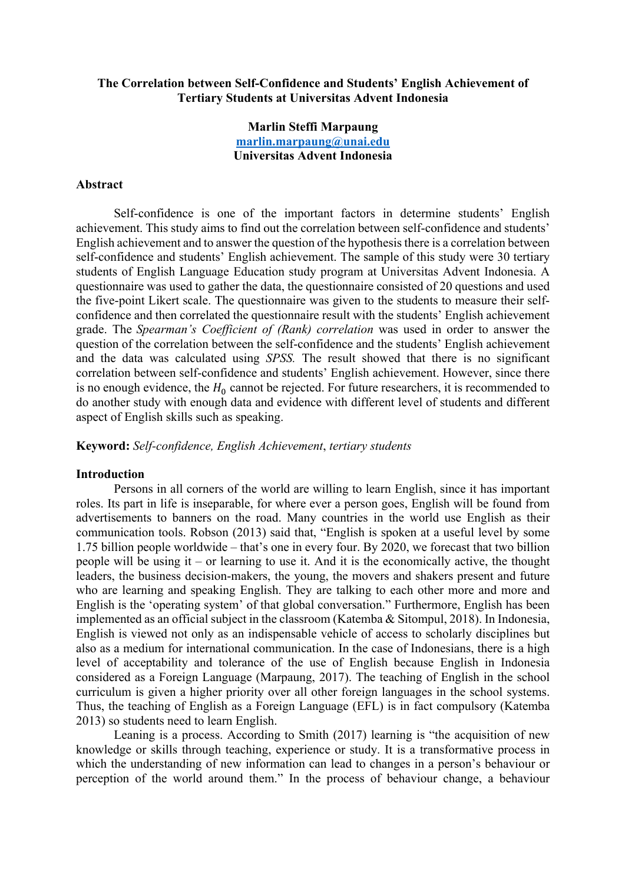# **The Correlation between Self-Confidence and Students' English Achievement of Tertiary Students at Universitas Advent Indonesia**

# **Marlin Steffi Marpaung marlin.marpaung@unai.edu Universitas Advent Indonesia**

## **Abstract**

Self-confidence is one of the important factors in determine students' English achievement. This study aims to find out the correlation between self-confidence and students' English achievement and to answer the question of the hypothesis there is a correlation between self-confidence and students' English achievement. The sample of this study were 30 tertiary students of English Language Education study program at Universitas Advent Indonesia. A questionnaire was used to gather the data, the questionnaire consisted of 20 questions and used the five-point Likert scale. The questionnaire was given to the students to measure their selfconfidence and then correlated the questionnaire result with the students' English achievement grade. The *Spearman's Coefficient of (Rank) correlation* was used in order to answer the question of the correlation between the self-confidence and the students' English achievement and the data was calculated using *SPSS.* The result showed that there is no significant correlation between self-confidence and students' English achievement. However, since there is no enough evidence, the  $H_0$  cannot be rejected. For future researchers, it is recommended to do another study with enough data and evidence with different level of students and different aspect of English skills such as speaking.

**Keyword:** *Self-confidence, English Achievement*, *tertiary students*

### **Introduction**

Persons in all corners of the world are willing to learn English, since it has important roles. Its part in life is inseparable, for where ever a person goes, English will be found from advertisements to banners on the road. Many countries in the world use English as their communication tools. Robson (2013) said that, "English is spoken at a useful level by some 1.75 billion people worldwide – that's one in every four. By 2020, we forecast that two billion people will be using it – or learning to use it. And it is the economically active, the thought leaders, the business decision-makers, the young, the movers and shakers present and future who are learning and speaking English. They are talking to each other more and more and English is the 'operating system' of that global conversation." Furthermore, English has been implemented as an official subject in the classroom (Katemba & Sitompul, 2018). In Indonesia, English is viewed not only as an indispensable vehicle of access to scholarly disciplines but also as a medium for international communication. In the case of Indonesians, there is a high level of acceptability and tolerance of the use of English because English in Indonesia considered as a Foreign Language (Marpaung, 2017). The teaching of English in the school curriculum is given a higher priority over all other foreign languages in the school systems. Thus, the teaching of English as a Foreign Language (EFL) is in fact compulsory (Katemba 2013) so students need to learn English.

Leaning is a process. According to Smith (2017) learning is "the acquisition of new knowledge or skills through teaching, experience or study. It is a transformative process in which the understanding of new information can lead to changes in a person's behaviour or perception of the world around them." In the process of behaviour change, a behaviour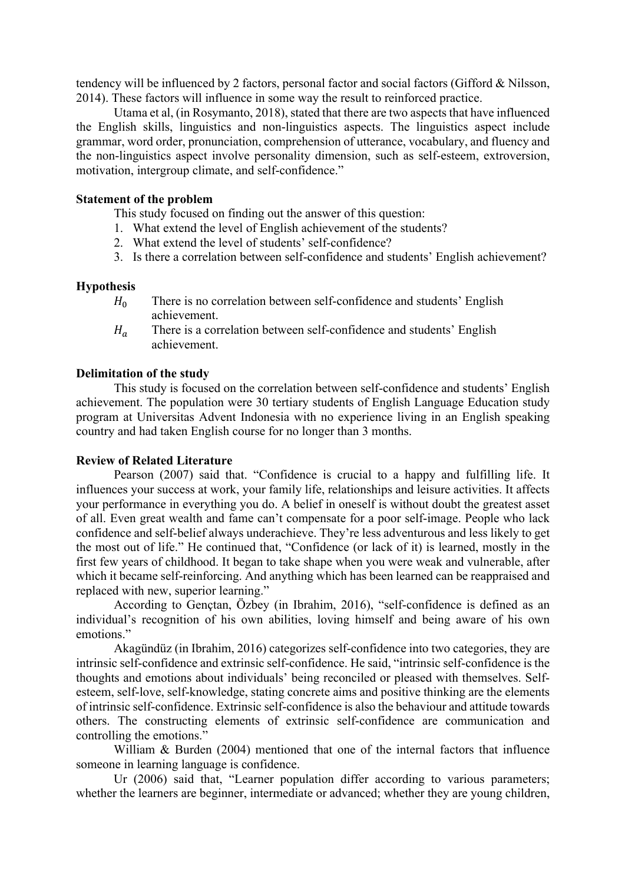tendency will be influenced by 2 factors, personal factor and social factors (Gifford & Nilsson, 2014). These factors will influence in some way the result to reinforced practice.

Utama et al, (in Rosymanto, 2018), stated that there are two aspects that have influenced the English skills, linguistics and non-linguistics aspects. The linguistics aspect include grammar, word order, pronunciation, comprehension of utterance, vocabulary, and fluency and the non-linguistics aspect involve personality dimension, such as self-esteem, extroversion, motivation, intergroup climate, and self-confidence."

## **Statement of the problem**

This study focused on finding out the answer of this question:

- 1. What extend the level of English achievement of the students?
- 2. What extend the level of students' self-confidence?
- 3. Is there a correlation between self-confidence and students' English achievement?

### **Hypothesis**

- $H_0$  There is no correlation between self-confidence and students' English achievement.
- $H<sub>a</sub>$  There is a correlation between self-confidence and students' English achievement.

## **Delimitation of the study**

This study is focused on the correlation between self-confidence and students' English achievement. The population were 30 tertiary students of English Language Education study program at Universitas Advent Indonesia with no experience living in an English speaking country and had taken English course for no longer than 3 months.

### **Review of Related Literature**

Pearson (2007) said that. "Confidence is crucial to a happy and fulfilling life. It influences your success at work, your family life, relationships and leisure activities. It affects your performance in everything you do. A belief in oneself is without doubt the greatest asset of all. Even great wealth and fame can't compensate for a poor self-image. People who lack confidence and self-belief always underachieve. They're less adventurous and less likely to get the most out of life." He continued that, "Confidence (or lack of it) is learned, mostly in the first few years of childhood. It began to take shape when you were weak and vulnerable, after which it became self-reinforcing. And anything which has been learned can be reappraised and replaced with new, superior learning."

According to Gençtan, Özbey (in Ibrahim, 2016), "self-confidence is defined as an individual's recognition of his own abilities, loving himself and being aware of his own emotions."

Akagündüz (in Ibrahim, 2016) categorizes self-confidence into two categories, they are intrinsic self-confidence and extrinsic self-confidence. He said, "intrinsic self-confidence is the thoughts and emotions about individuals' being reconciled or pleased with themselves. Selfesteem, self-love, self-knowledge, stating concrete aims and positive thinking are the elements of intrinsic self-confidence. Extrinsic self-confidence is also the behaviour and attitude towards others. The constructing elements of extrinsic self-confidence are communication and controlling the emotions."

William & Burden (2004) mentioned that one of the internal factors that influence someone in learning language is confidence.

Ur (2006) said that, "Learner population differ according to various parameters; whether the learners are beginner, intermediate or advanced; whether they are young children,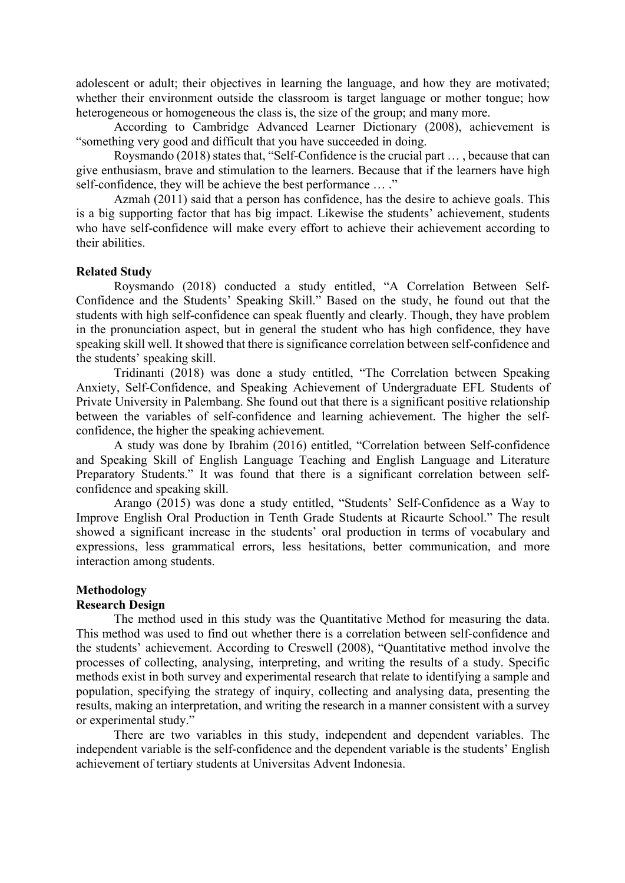adolescent or adult; their objectives in learning the language, and how they are motivated; whether their environment outside the classroom is target language or mother tongue; how heterogeneous or homogeneous the class is, the size of the group; and many more.

According to Cambridge Advanced Learner Dictionary (2008), achievement is "something very good and difficult that you have succeeded in doing.

Roysmando (2018) states that, "Self-Confidence is the crucial part … , because that can give enthusiasm, brave and stimulation to the learners. Because that if the learners have high self-confidence, they will be achieve the best performance … ."

Azmah (2011) said that a person has confidence, has the desire to achieve goals. This is a big supporting factor that has big impact. Likewise the students' achievement, students who have self-confidence will make every effort to achieve their achievement according to their abilities.

## **Related Study**

Roysmando (2018) conducted a study entitled, "A Correlation Between Self-Confidence and the Students' Speaking Skill." Based on the study, he found out that the students with high self-confidence can speak fluently and clearly. Though, they have problem in the pronunciation aspect, but in general the student who has high confidence, they have speaking skill well. It showed that there is significance correlation between self-confidence and the students' speaking skill.

Tridinanti (2018) was done a study entitled, "The Correlation between Speaking Anxiety, Self-Confidence, and Speaking Achievement of Undergraduate EFL Students of Private University in Palembang. She found out that there is a significant positive relationship between the variables of self-confidence and learning achievement. The higher the selfconfidence, the higher the speaking achievement.

A study was done by Ibrahim (2016) entitled, "Correlation between Self-confidence and Speaking Skill of English Language Teaching and English Language and Literature Preparatory Students." It was found that there is a significant correlation between selfconfidence and speaking skill.

Arango (2015) was done a study entitled, "Students' Self-Confidence as a Way to Improve English Oral Production in Tenth Grade Students at Ricaurte School." The result showed a significant increase in the students' oral production in terms of vocabulary and expressions, less grammatical errors, less hesitations, better communication, and more interaction among students.

## **Methodology**

### **Research Design**

The method used in this study was the Quantitative Method for measuring the data. This method was used to find out whether there is a correlation between self-confidence and the students' achievement. According to Creswell (2008), "Quantitative method involve the processes of collecting, analysing, interpreting, and writing the results of a study. Specific methods exist in both survey and experimental research that relate to identifying a sample and population, specifying the strategy of inquiry, collecting and analysing data, presenting the results, making an interpretation, and writing the research in a manner consistent with a survey or experimental study."

There are two variables in this study, independent and dependent variables. The independent variable is the self-confidence and the dependent variable is the students' English achievement of tertiary students at Universitas Advent Indonesia.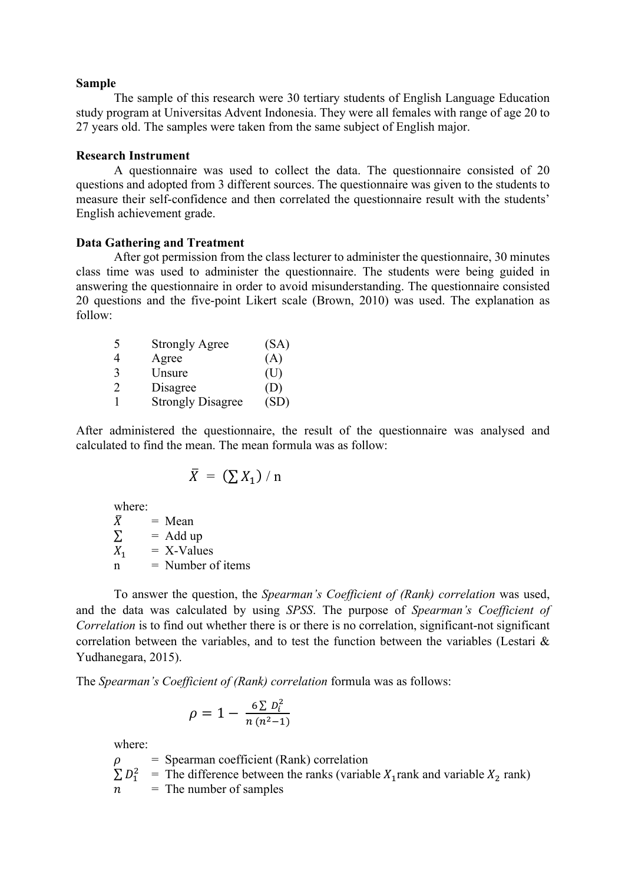#### **Sample**

The sample of this research were 30 tertiary students of English Language Education study program at Universitas Advent Indonesia. They were all females with range of age 20 to 27 years old. The samples were taken from the same subject of English major.

## **Research Instrument**

A questionnaire was used to collect the data. The questionnaire consisted of 20 questions and adopted from 3 different sources. The questionnaire was given to the students to measure their self-confidence and then correlated the questionnaire result with the students' English achievement grade.

### **Data Gathering and Treatment**

After got permission from the class lecturer to administer the questionnaire, 30 minutes class time was used to administer the questionnaire. The students were being guided in answering the questionnaire in order to avoid misunderstanding. The questionnaire consisted 20 questions and the five-point Likert scale (Brown, 2010) was used. The explanation as follow:

| -5            | <b>Strongly Agree</b>    | (SA) |
|---------------|--------------------------|------|
| 4             | Agree                    | (A)  |
| $\mathcal{F}$ | Unsure                   | (U)  |
| $\mathcal{D}$ | Disagree                 | (D)  |
|               | <b>Strongly Disagree</b> | (SD) |

After administered the questionnaire, the result of the questionnaire was analysed and calculated to find the mean. The mean formula was as follow:

$$
\bar{X} = (\sum X_1) / n
$$

where:

 $\bar{X}$  = Mean<br>  $\Sigma$  = Add u  $=$  Add up  $X_1$  = X-Values  $n =$  Number of items

To answer the question, the *Spearman's Coefficient of (Rank) correlation* was used, and the data was calculated by using *SPSS*. The purpose of *Spearman's Coefficient of Correlation* is to find out whether there is or there is no correlation, significant-not significant correlation between the variables, and to test the function between the variables (Lestari & Yudhanegara, 2015).

The *Spearman's Coefficient of (Rank) correlation* formula was as follows:

$$
\rho = 1 - \frac{6 \sum D_i^2}{n (n^2 - 1)}
$$

where:

 = Spearman coefficient (Rank) correlation  $\sum D_1^2$  = The difference between the ranks (variable  $X_1$ rank and variable  $X_2$  rank)  $n =$ The number of samples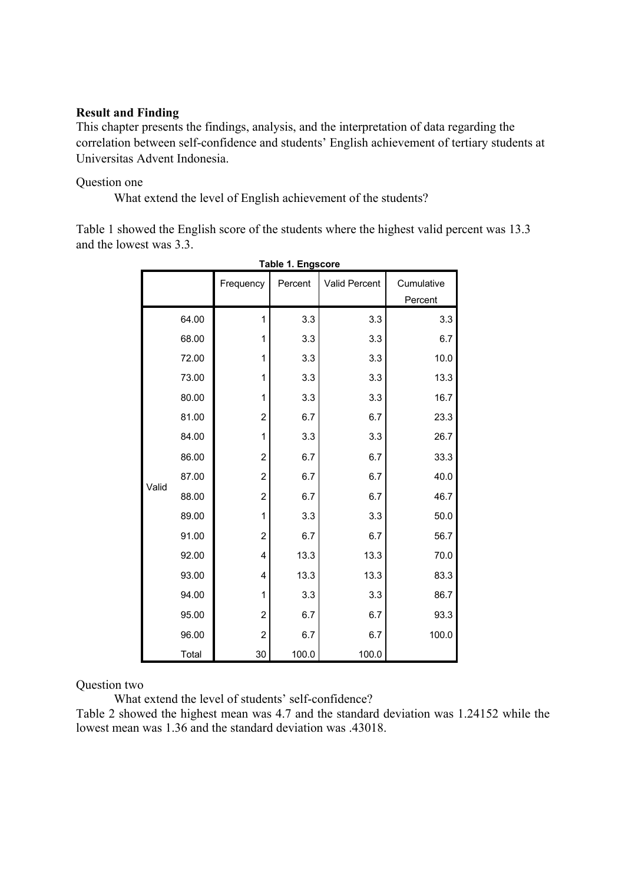# **Result and Finding**

This chapter presents the findings, analysis, and the interpretation of data regarding the correlation between self-confidence and students' English achievement of tertiary students at Universitas Advent Indonesia.

## Question one

What extend the level of English achievement of the students?

Table 1 showed the English score of the students where the highest valid percent was 13.3 and the lowest was 3.3.

|       |       | Frequency      | Percent | <b>Valid Percent</b> | Cumulative<br>Percent |
|-------|-------|----------------|---------|----------------------|-----------------------|
|       | 64.00 | 1              | 3.3     | 3.3                  | 3.3                   |
|       | 68.00 | 1              | 3.3     | 3.3                  | 6.7                   |
|       | 72.00 | 1              | 3.3     | 3.3                  | 10.0                  |
|       | 73.00 | 1              | 3.3     | 3.3                  | 13.3                  |
|       | 80.00 | 1              | 3.3     | 3.3                  | 16.7                  |
|       | 81.00 | $\overline{c}$ | 6.7     | 6.7                  | 23.3                  |
|       | 84.00 | 1              | 3.3     | 3.3                  | 26.7                  |
|       | 86.00 | $\overline{c}$ | 6.7     | 6.7                  | 33.3                  |
| Valid | 87.00 | $\overline{c}$ | 6.7     | 6.7                  | 40.0                  |
|       | 88.00 | $\overline{c}$ | 6.7     | 6.7                  | 46.7                  |
|       | 89.00 | 1              | 3.3     | 3.3                  | 50.0                  |
|       | 91.00 | 2              | 6.7     | 6.7                  | 56.7                  |
|       | 92.00 | 4              | 13.3    | 13.3                 | 70.0                  |
|       | 93.00 | 4              | 13.3    | 13.3                 | 83.3                  |
|       | 94.00 | 1              | 3.3     | 3.3                  | 86.7                  |
|       | 95.00 | 2              | 6.7     | 6.7                  | 93.3                  |
|       | 96.00 | $\overline{c}$ | 6.7     | 6.7                  | 100.0                 |
|       | Total | 30             | 100.0   | 100.0                |                       |

**Table 1. Engscore**

Question two

What extend the level of students' self-confidence?

Table 2 showed the highest mean was 4.7 and the standard deviation was 1.24152 while the lowest mean was 1.36 and the standard deviation was .43018.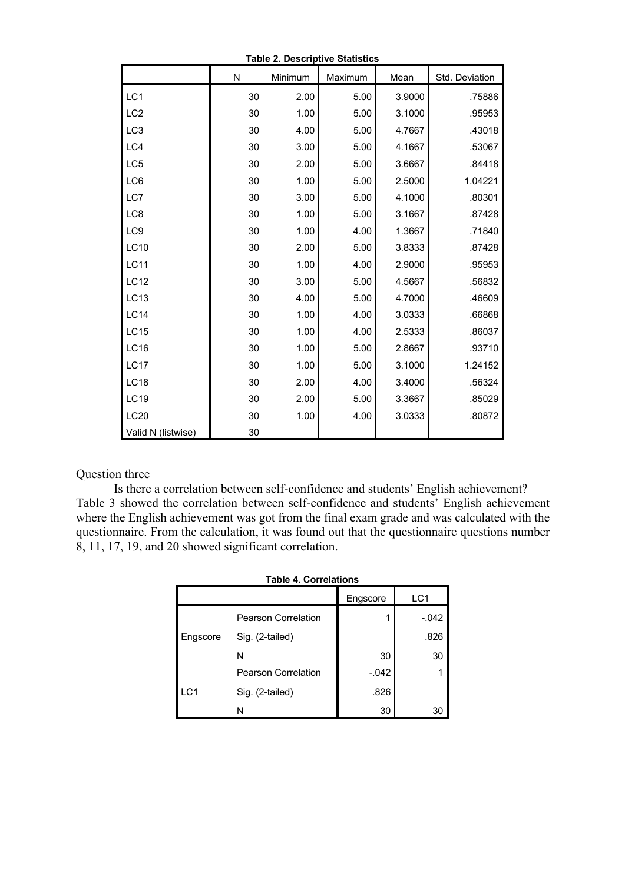| Table 2. Descriptive Statistics |                         |         |         |        |                |  |  |  |
|---------------------------------|-------------------------|---------|---------|--------|----------------|--|--|--|
|                                 | $\overline{\mathsf{N}}$ | Minimum | Maximum | Mean   | Std. Deviation |  |  |  |
| LC1                             | 30                      | 2.00    | 5.00    | 3.9000 | .75886         |  |  |  |
| LC <sub>2</sub>                 | 30                      | 1.00    | 5.00    | 3.1000 | .95953         |  |  |  |
| LC <sub>3</sub>                 | 30                      | 4.00    | 5.00    | 4.7667 | .43018         |  |  |  |
| LC4                             | 30                      | 3.00    | 5.00    | 4.1667 | .53067         |  |  |  |
| LC5                             | 30                      | 2.00    | 5.00    | 3.6667 | .84418         |  |  |  |
| LC6                             | 30                      | 1.00    | 5.00    | 2.5000 | 1.04221        |  |  |  |
| LC7                             | 30                      | 3.00    | 5.00    | 4.1000 | .80301         |  |  |  |
| LC8                             | 30                      | 1.00    | 5.00    | 3.1667 | .87428         |  |  |  |
| LC9                             | 30                      | 1.00    | 4.00    | 1.3667 | .71840         |  |  |  |
| LC10                            | 30                      | 2.00    | 5.00    | 3.8333 | .87428         |  |  |  |
| <b>LC11</b>                     | 30                      | 1.00    | 4.00    | 2.9000 | .95953         |  |  |  |
| <b>LC12</b>                     | 30                      | 3.00    | 5.00    | 4.5667 | .56832         |  |  |  |
| <b>LC13</b>                     | 30                      | 4.00    | 5.00    | 4.7000 | .46609         |  |  |  |
| <b>LC14</b>                     | 30                      | 1.00    | 4.00    | 3.0333 | .66868         |  |  |  |
| <b>LC15</b>                     | 30                      | 1.00    | 4.00    | 2.5333 | .86037         |  |  |  |
| <b>LC16</b>                     | 30                      | 1.00    | 5.00    | 2.8667 | .93710         |  |  |  |
| <b>LC17</b>                     | 30                      | 1.00    | 5.00    | 3.1000 | 1.24152        |  |  |  |
| <b>LC18</b>                     | 30                      | 2.00    | 4.00    | 3.4000 | .56324         |  |  |  |
| <b>LC19</b>                     | 30                      | 2.00    | 5.00    | 3.3667 | .85029         |  |  |  |
| <b>LC20</b>                     | 30                      | 1.00    | 4.00    | 3.0333 | .80872         |  |  |  |
| Valid N (listwise)              | 30                      |         |         |        |                |  |  |  |

#### **Table 2. Descriptive Statistics**

## Question three

Is there a correlation between self-confidence and students' English achievement? Table 3 showed the correlation between self-confidence and students' English achievement where the English achievement was got from the final exam grade and was calculated with the questionnaire. From the calculation, it was found out that the questionnaire questions number 8, 11, 17, 19, and 20 showed significant correlation.

| <b>Table 4. Correlations</b> |                            |          |         |  |  |  |  |
|------------------------------|----------------------------|----------|---------|--|--|--|--|
|                              |                            | Engscore | LC1     |  |  |  |  |
|                              | <b>Pearson Correlation</b> | 1        | $-.042$ |  |  |  |  |
| Engscore                     | Sig. (2-tailed)            |          | .826    |  |  |  |  |
|                              | N                          | 30       | 30      |  |  |  |  |
|                              | <b>Pearson Correlation</b> | $-.042$  |         |  |  |  |  |
| LC <sub>1</sub>              | Sig. (2-tailed)            | .826     |         |  |  |  |  |
|                              | N                          | 30       | 30      |  |  |  |  |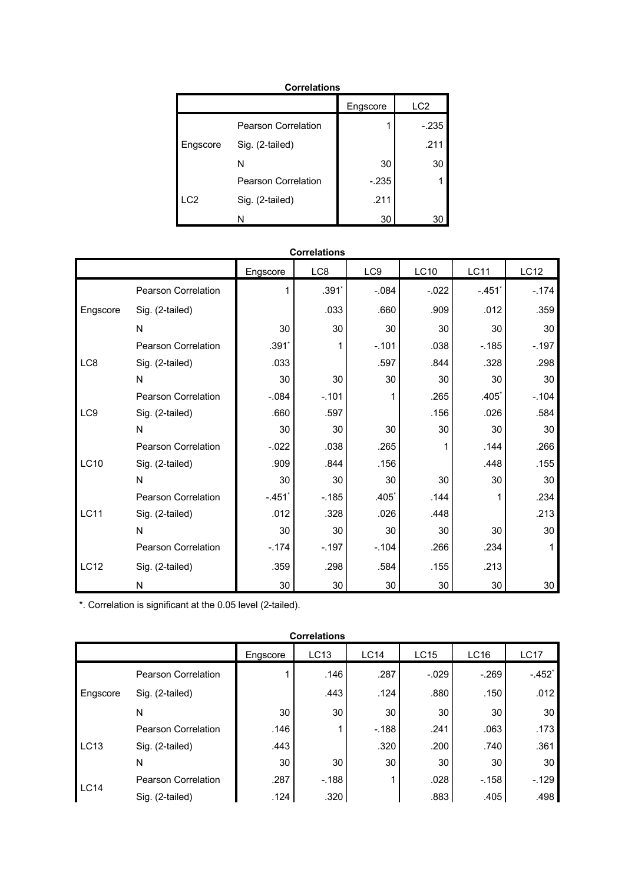| <b>Correlations</b> |                     |          |                 |  |  |  |  |
|---------------------|---------------------|----------|-----------------|--|--|--|--|
|                     |                     | Engscore | LC <sub>2</sub> |  |  |  |  |
|                     | Pearson Correlation | 1        | $-.235$         |  |  |  |  |
| Engscore            | Sig. (2-tailed)     |          | .211            |  |  |  |  |
|                     | N                   | 30       | 30              |  |  |  |  |
|                     | Pearson Correlation | $-235$   |                 |  |  |  |  |
| LC <sub>2</sub>     | Sig. (2-tailed)     | .211     |                 |  |  |  |  |
|                     | N                   | 30       |                 |  |  |  |  |

| <b>Correlations</b> |                            |          |         |         |             |             |             |
|---------------------|----------------------------|----------|---------|---------|-------------|-------------|-------------|
|                     |                            | Engscore | LC8     | LC9     | <b>LC10</b> | <b>LC11</b> | <b>LC12</b> |
|                     | Pearson Correlation        |          | $.391*$ | $-.084$ | $-0.022$    | $-.451'$    | $-174$      |
| Engscore            | Sig. (2-tailed)            |          | .033    | .660    | .909        | .012        | .359        |
|                     | N                          | 30       | 30      | 30      | 30          | 30          | 30          |
|                     | <b>Pearson Correlation</b> | $.391*$  |         | $-.101$ | .038        | $-185$      | $-.197$     |
| LC8                 | Sig. (2-tailed)            | .033     |         | .597    | .844        | .328        | .298        |
|                     | N                          | 30       | 30      | 30      | 30          | 30          | 30          |
|                     | <b>Pearson Correlation</b> | $-0.084$ | $-.101$ | 1       | .265        | .405        | $-.104$     |
| LC <sub>9</sub>     | Sig. (2-tailed)            | .660     | .597    |         | .156        | .026        | .584        |
|                     | N                          | 30       | 30      | 30      | 30          | 30          | 30          |
|                     | <b>Pearson Correlation</b> | $-.022$  | .038    | .265    | 1           | .144        | .266        |
| LC10                | Sig. (2-tailed)            | .909     | .844    | .156    |             | .448        | .155        |
|                     | N                          | 30       | 30      | 30      | 30          | 30          | 30          |
|                     | <b>Pearson Correlation</b> | $-.451$  | $-185$  | $.405*$ | .144        | 1           | .234        |
| <b>LC11</b>         | Sig. (2-tailed)            | .012     | .328    | .026    | .448        |             | .213        |
|                     | N                          | 30       | 30      | 30      | 30          | 30          | 30          |
|                     | <b>Pearson Correlation</b> | $-174$   | $-.197$ | $-.104$ | .266        | .234        | 1           |
| <b>LC12</b>         | Sig. (2-tailed)            | .359     | .298    | .584    | .155        | .213        |             |
|                     | N                          | 30       | 30      | 30      | 30          | 30          | 30          |

\*. Correlation is significant at the 0.05 level (2-tailed).

| <b>Correlations</b> |                            |                 |        |             |             |        |             |
|---------------------|----------------------------|-----------------|--------|-------------|-------------|--------|-------------|
|                     |                            | Engscore        | LC13   | <b>LC14</b> | <b>LC15</b> | LC16   | <b>LC17</b> |
|                     | Pearson Correlation        |                 | .146   | .287        | $-0.029$    | $-269$ | $-.452*$    |
| Engscore            | Sig. (2-tailed)            |                 | .443   | .124        | .880        | .150   | .012        |
|                     | N                          | 30              | 30     | 30          | 30          | 30     | 30          |
|                     | Pearson Correlation        | .146            |        | $-188$      | .241        | .063   | .173        |
| LC13                | Sig. (2-tailed)            | .443            |        | .320        | .200        | .740   | .361        |
|                     | N                          | 30 <sup>1</sup> | 30     | 30          | 30          | 30     | 30          |
| <b>LC14</b>         | <b>Pearson Correlation</b> | .287            | $-188$ |             | .028        | $-158$ | $-129$      |
|                     | Sig. (2-tailed)            | .124            | .320   |             | .883        | .405   | .498        |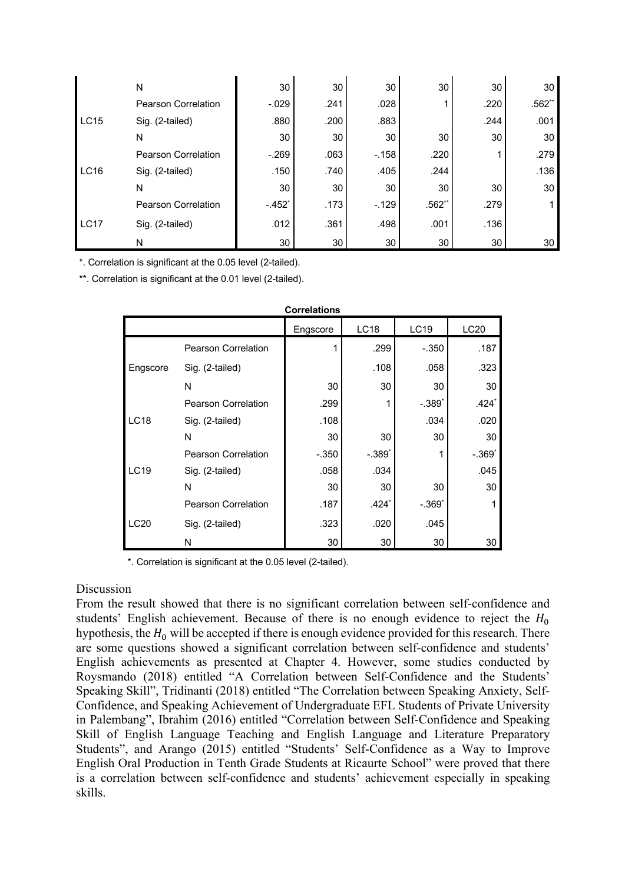|             | Ν                          | 30              | 30   | 30     | 30       | 30   | 30       |
|-------------|----------------------------|-----------------|------|--------|----------|------|----------|
|             | <b>Pearson Correlation</b> | $-.029$         | .241 | .028   |          | .220 | $.562**$ |
| <b>LC15</b> | Sig. (2-tailed)            | .880            | .200 | .883   |          | .244 | .001     |
|             | N                          | 30              | 30   | 30     | 30       | 30   | 30       |
|             | <b>Pearson Correlation</b> | $-.269$         | .063 | $-158$ | .220     |      | .279     |
| <b>LC16</b> | Sig. (2-tailed)            | .150            | .740 | .405   | .244     |      | .136     |
|             | N                          | 30 <sup>1</sup> | 30   | 30     | 30       | 30   | 30       |
|             | <b>Pearson Correlation</b> | $-.452"$        | .173 | $-129$ | $.562**$ | .279 |          |
| <b>LC17</b> | Sig. (2-tailed)            | .012            | .361 | .498   | .001     | .136 |          |
|             | N                          | 30              | 30   | 30     | 30       | 30   | 30       |

\*. Correlation is significant at the 0.05 level (2-tailed).

\*\*. Correlation is significant at the 0.01 level (2-tailed).

| <b>Correlations</b> |                            |          |             |          |          |  |  |  |
|---------------------|----------------------------|----------|-------------|----------|----------|--|--|--|
|                     |                            | Engscore | <b>LC18</b> | LC19     | LC20     |  |  |  |
|                     | <b>Pearson Correlation</b> |          | .299        | $-.350$  | .187     |  |  |  |
| Engscore            | Sig. (2-tailed)            |          | .108        | .058     | .323     |  |  |  |
|                     | N                          | 30       | 30          | 30       | 30       |  |  |  |
|                     | <b>Pearson Correlation</b> | .299     | 1           | $-.389*$ | $.424*$  |  |  |  |
| <b>LC18</b>         | Sig. (2-tailed)            | .108     |             | .034     | .020     |  |  |  |
|                     | N                          | 30       | 30          | 30       | 30       |  |  |  |
|                     | <b>Pearson Correlation</b> | $-.350$  | $-.389*$    |          | $-.369*$ |  |  |  |
| <b>LC19</b>         | Sig. (2-tailed)            | .058     | .034        |          | .045     |  |  |  |
|                     | N                          | 30       | 30          | 30       | 30       |  |  |  |
|                     | <b>Pearson Correlation</b> | .187     | $.424*$     | $-.369*$ |          |  |  |  |
| LC20                | Sig. (2-tailed)            | .323     | .020        | .045     |          |  |  |  |
|                     | N                          | 30       | 30          | 30       | 30       |  |  |  |

\*. Correlation is significant at the 0.05 level (2-tailed).

## Discussion

From the result showed that there is no significant correlation between self-confidence and students' English achievement. Because of there is no enough evidence to reject the  $H_0$ hypothesis, the  $H_0$  will be accepted if there is enough evidence provided for this research. There are some questions showed a significant correlation between self-confidence and students' English achievements as presented at Chapter 4. However, some studies conducted by Roysmando (2018) entitled "A Correlation between Self-Confidence and the Students' Speaking Skill", Tridinanti (2018) entitled "The Correlation between Speaking Anxiety, Self-Confidence, and Speaking Achievement of Undergraduate EFL Students of Private University in Palembang", Ibrahim (2016) entitled "Correlation between Self-Confidence and Speaking Skill of English Language Teaching and English Language and Literature Preparatory Students", and Arango (2015) entitled "Students' Self-Confidence as a Way to Improve English Oral Production in Tenth Grade Students at Ricaurte School" were proved that there is a correlation between self-confidence and students' achievement especially in speaking skills.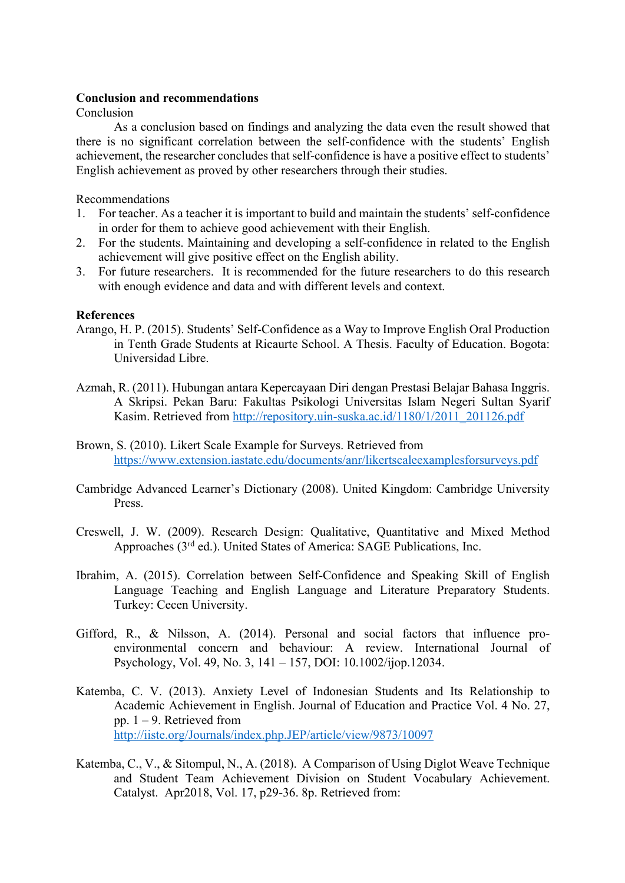# **Conclusion and recommendations**

Conclusion

As a conclusion based on findings and analyzing the data even the result showed that there is no significant correlation between the self-confidence with the students' English achievement, the researcher concludes that self-confidence is have a positive effect to students' English achievement as proved by other researchers through their studies.

Recommendations

- 1. For teacher. As a teacher it is important to build and maintain the students' self-confidence in order for them to achieve good achievement with their English.
- 2. For the students. Maintaining and developing a self-confidence in related to the English achievement will give positive effect on the English ability.
- 3. For future researchers. It is recommended for the future researchers to do this research with enough evidence and data and with different levels and context.

# **References**

- Arango, H. P. (2015). Students' Self-Confidence as a Way to Improve English Oral Production in Tenth Grade Students at Ricaurte School. A Thesis. Faculty of Education. Bogota: Universidad Libre.
- Azmah, R. (2011). Hubungan antara Kepercayaan Diri dengan Prestasi Belajar Bahasa Inggris. A Skripsi. Pekan Baru: Fakultas Psikologi Universitas Islam Negeri Sultan Syarif Kasim. Retrieved from http://repository.uin-suska.ac.id/1180/1/2011\_201126.pdf
- Brown, S. (2010). Likert Scale Example for Surveys. Retrieved from https://www.extension.iastate.edu/documents/anr/likertscaleexamplesforsurveys.pdf
- Cambridge Advanced Learner's Dictionary (2008). United Kingdom: Cambridge University Press.
- Creswell, J. W. (2009). Research Design: Qualitative, Quantitative and Mixed Method Approaches (3rd ed.). United States of America: SAGE Publications, Inc.
- Ibrahim, A. (2015). Correlation between Self-Confidence and Speaking Skill of English Language Teaching and English Language and Literature Preparatory Students. Turkey: Cecen University.
- Gifford, R., & Nilsson, A. (2014). Personal and social factors that influence proenvironmental concern and behaviour: A review. International Journal of Psychology, Vol. 49, No. 3, 141 – 157, DOI: 10.1002/ijop.12034.
- Katemba, C. V. (2013). Anxiety Level of Indonesian Students and Its Relationship to Academic Achievement in English. Journal of Education and Practice Vol. 4 No. 27, pp.  $1 - 9$ . Retrieved from http://iiste.org/Journals/index.php.JEP/article/view/9873/10097
- Katemba, C., V., & Sitompul, N., A. (2018). A Comparison of Using Diglot Weave Technique and Student Team Achievement Division on Student Vocabulary Achievement. Catalyst. Apr2018, Vol. 17, p29-36. 8p. Retrieved from: